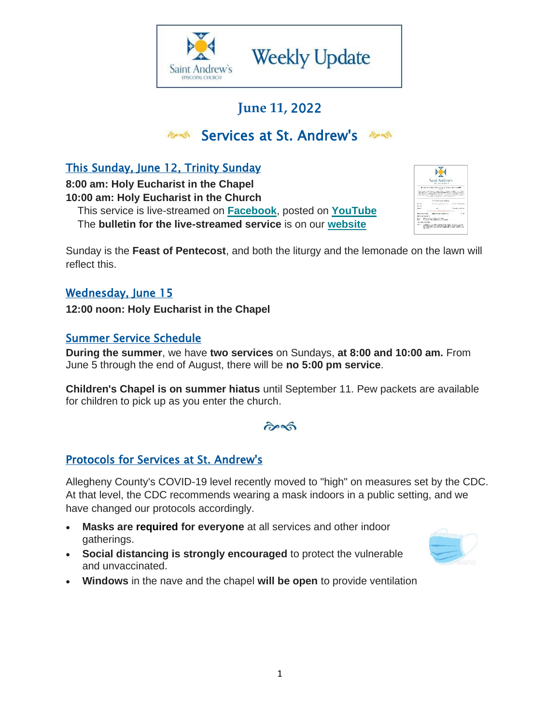

## **June 11,** 2022

## **Bervices at St. Andrew's Best**

## This Sunday, June 12, Trinity Sunday

**8:00 am: Holy Eucharist in the Chapel 10:00 am: Holy Eucharist in the Church**

 This service is live-streamed on **[Facebook](https://standrewspgh.us19.list-manage.com/track/click?u=56b4f26646e0f9a4a1242fae0&id=4e8bfeda06&e=1fa82d9aba)**, posted on **[YouTube](https://standrewspgh.us19.list-manage.com/track/click?u=56b4f26646e0f9a4a1242fae0&id=39780c3465&e=1fa82d9aba)** The **bulletin for the live-streamed service** is on our **[website](https://standrewspgh.us19.list-manage.com/track/click?u=56b4f26646e0f9a4a1242fae0&id=0c13e3c174&e=1fa82d9aba)**



Sunday is the **Feast of Pentecost**, and both the liturgy and the lemonade on the lawn will reflect this.

#### Wednesday, June 15

**12:00 noon: Holy Eucharist in the Chapel**

#### Summer Service Schedule

**During the summer**, we have **two services** on Sundays, **at 8:00 and 10:00 am.** From June 5 through the end of August, there will be **no 5:00 pm service**.

**Children's Chapel is on summer hiatus** until September 11. Pew packets are available for children to pick up as you enter the church.

#### $\partial \infty$

#### Protocols for Services at St. Andrew's

Allegheny County's COVID-19 level recently moved to "high" on measures set by the CDC. At that level, the CDC recommends wearing a mask indoors in a public setting, and we have changed our protocols accordingly.

- **Masks are required for everyone** at all services and other indoor gatherings.
- **Social distancing is strongly encouraged** to protect the vulnerable and unvaccinated.



• **Windows** in the nave and the chapel **will be open** to provide ventilation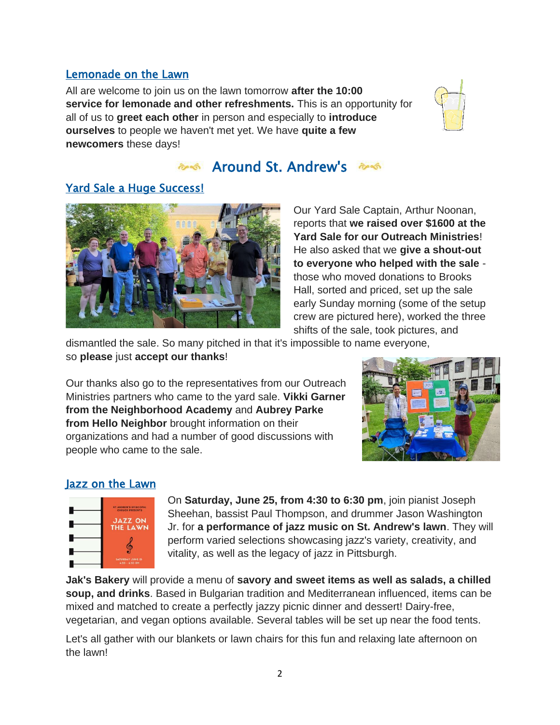#### Lemonade on the Lawn

All are welcome to join us on the lawn tomorrow **after the 10:00 service for lemonade and other refreshments.** This is an opportunity for all of us to **greet each other** in person and especially to **introduce ourselves** to people we haven't met yet. We have **quite a few newcomers** these days!



## and St. Andrew's and

#### Yard Sale a Huge Success!



Our Yard Sale Captain, Arthur Noonan, reports that **we raised over \$1600 at the Yard Sale for our Outreach Ministries**! He also asked that we **give a shout-out to everyone who helped with the sale** those who moved donations to Brooks Hall, sorted and priced, set up the sale early Sunday morning (some of the setup crew are pictured here), worked the three shifts of the sale, took pictures, and

dismantled the sale. So many pitched in that it's impossible to name everyone, so **please** just **accept our thanks**!

Our thanks also go to the representatives from our Outreach Ministries partners who came to the yard sale. **Vikki Garner from the Neighborhood Academy** and **Aubrey Parke from Hello Neighbor** brought information on their organizations and had a number of good discussions with people who came to the sale.



#### Jazz on the Lawn



On **Saturday, June 25, from 4:30 to 6:30 pm**, join pianist Joseph Sheehan, bassist Paul Thompson, and drummer Jason Washington Jr. for **a performance of jazz music on St. Andrew's lawn**. They will perform varied selections showcasing jazz's variety, creativity, and vitality, as well as the legacy of jazz in Pittsburgh.

**Jak's Bakery** will provide a menu of **savory and sweet items as well as salads, a chilled soup, and drinks**. Based in Bulgarian tradition and Mediterranean influenced, items can be mixed and matched to create a perfectly jazzy picnic dinner and dessert! Dairy-free, vegetarian, and vegan options available. Several tables will be set up near the food tents.

Let's all gather with our blankets or lawn chairs for this fun and relaxing late afternoon on the lawn!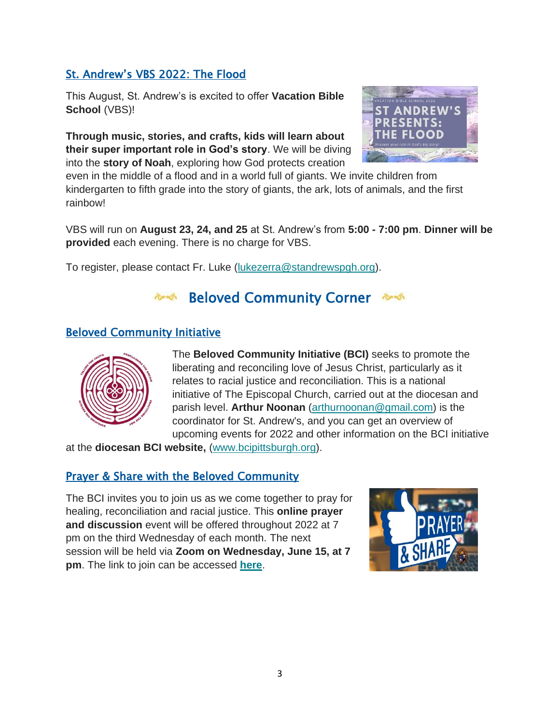### St. Andrew's VBS 2022: The Flood

This August, St. Andrew's is excited to offer **Vacation Bible School** (VBS)!

**Through music, stories, and crafts, kids will learn about their super important role in God's story**. We will be diving into the **story of Noah**, exploring how God protects creation



even in the middle of a flood and in a world full of giants. We invite children from kindergarten to fifth grade into the story of giants, the ark, lots of animals, and the first rainbow!

VBS will run on **August 23, 24, and 25** at St. Andrew's from **5:00 - 7:00 pm**. **Dinner will be provided** each evening. There is no charge for VBS.

To register, please contact Fr. Luke [\(lukezerra@standrewspgh.org\)](mailto:lukezerra@standrewspgh.org?subject=Vacation%20Bible%20School).

## **Beloved Community Corner 2006**

#### Beloved Community Initiative



The **Beloved Community Initiative (BCI)** seeks to promote the liberating and reconciling love of Jesus Christ, particularly as it relates to racial justice and reconciliation. This is a national initiative of The Episcopal Church, carried out at the diocesan and parish level. **Arthur Noonan** [\(arthurnoonan@gmail.com\)](mailto:arthurnoonan@gmail.com?subject=Beloved%20Community%20Initiative) is the coordinator for St. Andrew's, and you can get an overview of upcoming events for 2022 and other information on the BCI initiative

at the **diocesan BCI website,** [\(www.bcipittsburgh.org\)](https://standrewspgh.us19.list-manage.com/track/click?u=56b4f26646e0f9a4a1242fae0&id=6d0714ffc3&e=1fa82d9aba).

#### Prayer & Share with the Beloved Community

The BCI invites you to join us as we come together to pray for healing, reconciliation and racial justice. This **online prayer and discussion** event will be offered throughout 2022 at 7 pm on the third Wednesday of each month. The next session will be held via **Zoom on Wednesday, June 15, at 7 pm**. The link to join can be accessed **[here](https://standrewspgh.us19.list-manage.com/track/click?u=56b4f26646e0f9a4a1242fae0&id=bfe4eb186a&e=1fa82d9aba)**.

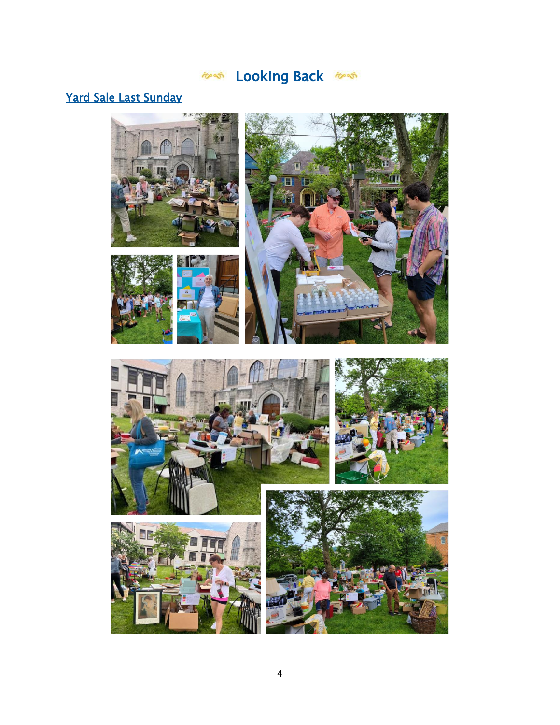# 200king Back

## Yard Sale Last Sunday